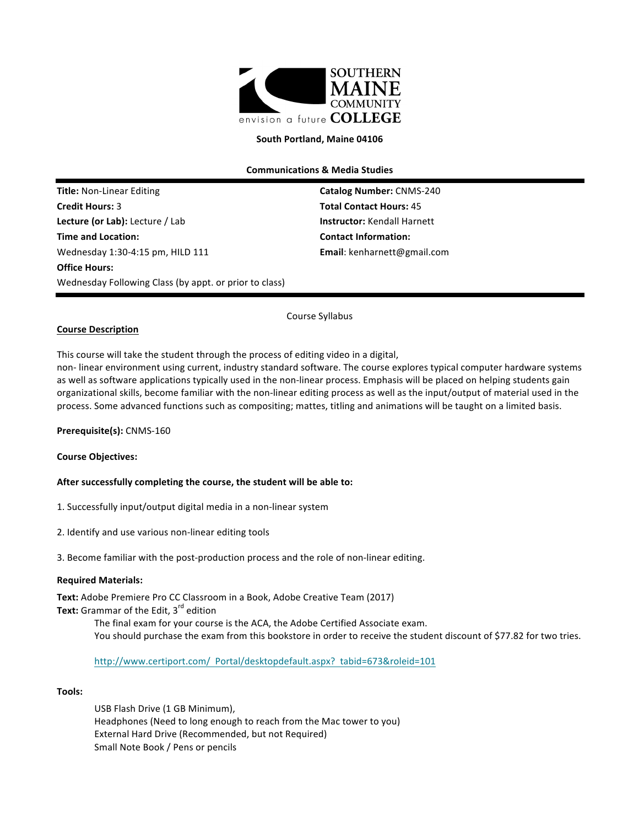

#### South Portland, Maine 04106

**Communications & Media Studies**

**Title:** Non-Linear Editing **Catalog Number:** CNMS-240 **Credit Hours: 3 Total Contact Hours:** 45 **Lecture (or Lab):** Lecture / Lab **Instructor:** Kendall Harnett **Time and Location: Contact Information:** Wednesday 1:30-4:15 pm, HILD 111 **Email**: kenharnett@gmail.com **Office Hours:** Wednesday Following Class (by appt. or prior to class)

## **Course Description**

Course Syllabus

This course will take the student through the process of editing video in a digital,

non- linear environment using current, industry standard software. The course explores typical computer hardware systems as well as software applications typically used in the non-linear process. Emphasis will be placed on helping students gain organizational skills, become familiar with the non-linear editing process as well as the input/output of material used in the process. Some advanced functions such as compositing; mattes, titling and animations will be taught on a limited basis.

#### **Prerequisite(s):** CNMS-160

#### **Course Objectives:**

#### After successfully completing the course, the student will be able to:

- 1. Successfully input/output digital media in a non-linear system
- 2. Identify and use various non-linear editing tools
- 3. Become familiar with the post-production process and the role of non-linear editing.

#### **Required Materials:**

Text: Adobe Premiere Pro CC Classroom in a Book, Adobe Creative Team (2017) **Text:** Grammar of the Edit, 3<sup>rd</sup> edition

> The final exam for your course is the ACA, the Adobe Certified Associate exam. You should purchase the exam from this bookstore in order to receive the student discount of \$77.82 for two tries.

http://www.certiport.com/ Portal/desktopdefault.aspx? tabid=673&roleid=101

#### **Tools:**

USB Flash Drive (1 GB Minimum), Headphones (Need to long enough to reach from the Mac tower to you) External Hard Drive (Recommended, but not Required) Small Note Book / Pens or pencils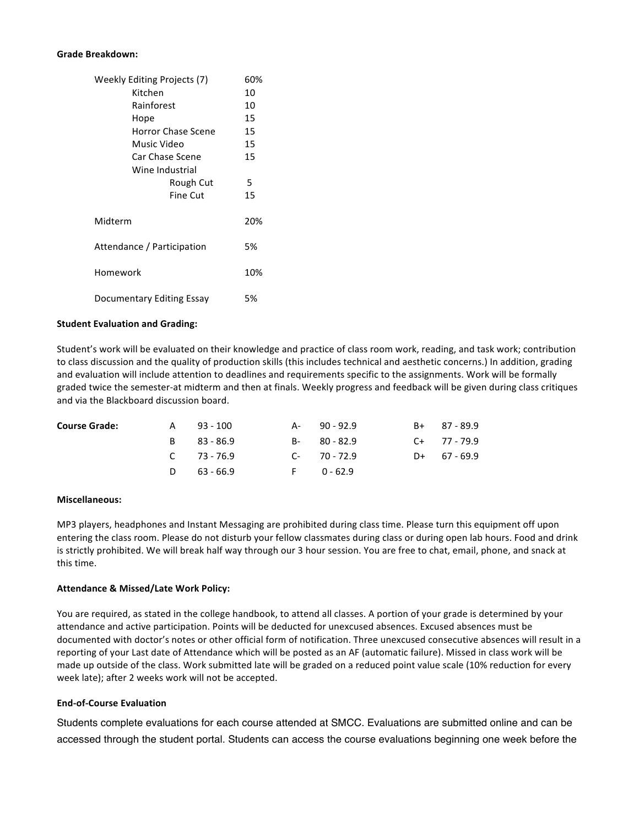#### **Grade Breakdown:**

| Weekly Editing Projects (7) |     |
|-----------------------------|-----|
| Kitchen                     | 10  |
| Rainforest                  | 10  |
| Hope                        | 15  |
| Horror Chase Scene          | 15  |
| Music Video                 | 15  |
| Car Chase Scene             | 15  |
| Wine Industrial             |     |
| Rough Cut                   | 5   |
| Fine Cut                    | 15  |
| Midterm                     | 20% |
| Attendance / Participation  |     |
| Homework                    |     |
| Documentary Editing Essay   |     |

#### **Student Evaluation and Grading:**

Student's work will be evaluated on their knowledge and practice of class room work, reading, and task work; contribution to class discussion and the quality of production skills (this includes technical and aesthetic concerns.) In addition, grading and evaluation will include attention to deadlines and requirements specific to the assignments. Work will be formally graded twice the semester-at midterm and then at finals. Weekly progress and feedback will be given during class critiques and via the Blackboard discussion board.

| <b>Course Grade:</b> | A | 93 - 100        | A- 90-92.9  | $B+$ 87 - 89.9 |
|----------------------|---|-----------------|-------------|----------------|
|                      |   | B 83-86.9       | $B-80-82.9$ | $C+ 77 - 79.9$ |
|                      |   | $C = 73 - 76.9$ | $C-70-72.9$ | $D+ 67 - 69.9$ |
|                      |   | D $63 - 66.9$   | F 0-62.9    |                |

#### **Miscellaneous:**

MP3 players, headphones and Instant Messaging are prohibited during class time. Please turn this equipment off upon entering the class room. Please do not disturb your fellow classmates during class or during open lab hours. Food and drink is strictly prohibited. We will break half way through our 3 hour session. You are free to chat, email, phone, and snack at this time.

#### **Attendance & Missed/Late Work Policy:**

You are required, as stated in the college handbook, to attend all classes. A portion of your grade is determined by your attendance and active participation. Points will be deducted for unexcused absences. Excused absences must be documented with doctor's notes or other official form of notification. Three unexcused consecutive absences will result in a reporting of your Last date of Attendance which will be posted as an AF (automatic failure). Missed in class work will be made up outside of the class. Work submitted late will be graded on a reduced point value scale (10% reduction for every week late); after 2 weeks work will not be accepted.

#### **End-of-Course Evaluation**

Students complete evaluations for each course attended at SMCC. Evaluations are submitted online and can be accessed through the student portal. Students can access the course evaluations beginning one week before the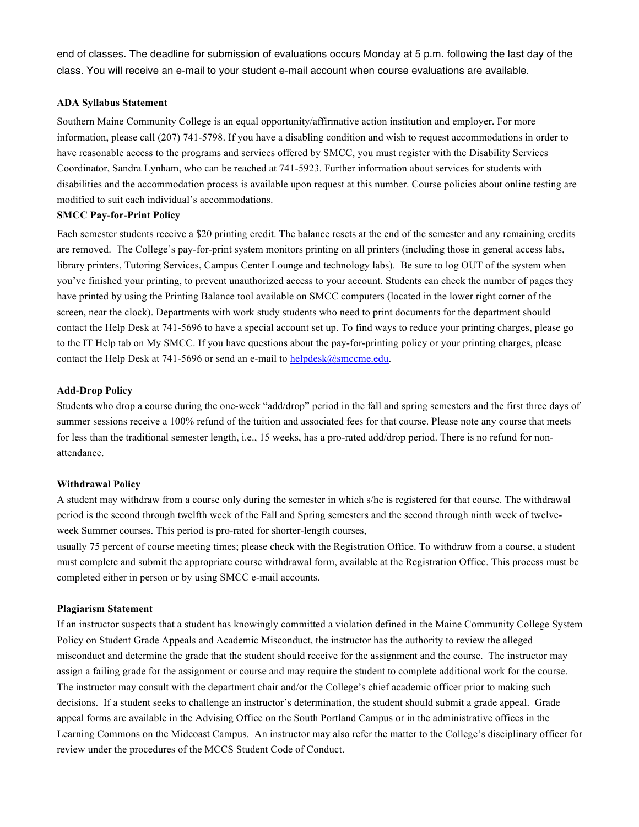end of classes. The deadline for submission of evaluations occurs Monday at 5 p.m. following the last day of the class. You will receive an e-mail to your student e-mail account when course evaluations are available.

# **ADA Syllabus Statement**

Southern Maine Community College is an equal opportunity/affirmative action institution and employer. For more information, please call (207) 741-5798. If you have a disabling condition and wish to request accommodations in order to have reasonable access to the programs and services offered by SMCC, you must register with the Disability Services Coordinator, Sandra Lynham, who can be reached at 741-5923. Further information about services for students with disabilities and the accommodation process is available upon request at this number. Course policies about online testing are modified to suit each individual's accommodations.

#### **SMCC Pay-for-Print Policy**

Each semester students receive a \$20 printing credit. The balance resets at the end of the semester and any remaining credits are removed. The College's pay-for-print system monitors printing on all printers (including those in general access labs, library printers, Tutoring Services, Campus Center Lounge and technology labs). Be sure to log OUT of the system when you've finished your printing, to prevent unauthorized access to your account. Students can check the number of pages they have printed by using the Printing Balance tool available on SMCC computers (located in the lower right corner of the screen, near the clock). Departments with work study students who need to print documents for the department should contact the Help Desk at 741-5696 to have a special account set up. To find ways to reduce your printing charges, please go to the IT Help tab on My SMCC. If you have questions about the pay-for-printing policy or your printing charges, please contact the Help Desk at 741-5696 or send an e-mail to helpdesk $(a)$ smccme.edu.

## **Add-Drop Policy**

Students who drop a course during the one-week "add/drop" period in the fall and spring semesters and the first three days of summer sessions receive a 100% refund of the tuition and associated fees for that course. Please note any course that meets for less than the traditional semester length, i.e., 15 weeks, has a pro-rated add/drop period. There is no refund for nonattendance.

#### **Withdrawal Policy**

A student may withdraw from a course only during the semester in which s/he is registered for that course. The withdrawal period is the second through twelfth week of the Fall and Spring semesters and the second through ninth week of twelveweek Summer courses. This period is pro-rated for shorter-length courses,

usually 75 percent of course meeting times; please check with the Registration Office. To withdraw from a course, a student must complete and submit the appropriate course withdrawal form, available at the Registration Office. This process must be completed either in person or by using SMCC e-mail accounts.

# **Plagiarism Statement**

If an instructor suspects that a student has knowingly committed a violation defined in the Maine Community College System Policy on Student Grade Appeals and Academic Misconduct, the instructor has the authority to review the alleged misconduct and determine the grade that the student should receive for the assignment and the course. The instructor may assign a failing grade for the assignment or course and may require the student to complete additional work for the course. The instructor may consult with the department chair and/or the College's chief academic officer prior to making such decisions. If a student seeks to challenge an instructor's determination, the student should submit a grade appeal. Grade appeal forms are available in the Advising Office on the South Portland Campus or in the administrative offices in the Learning Commons on the Midcoast Campus. An instructor may also refer the matter to the College's disciplinary officer for review under the procedures of the MCCS Student Code of Conduct.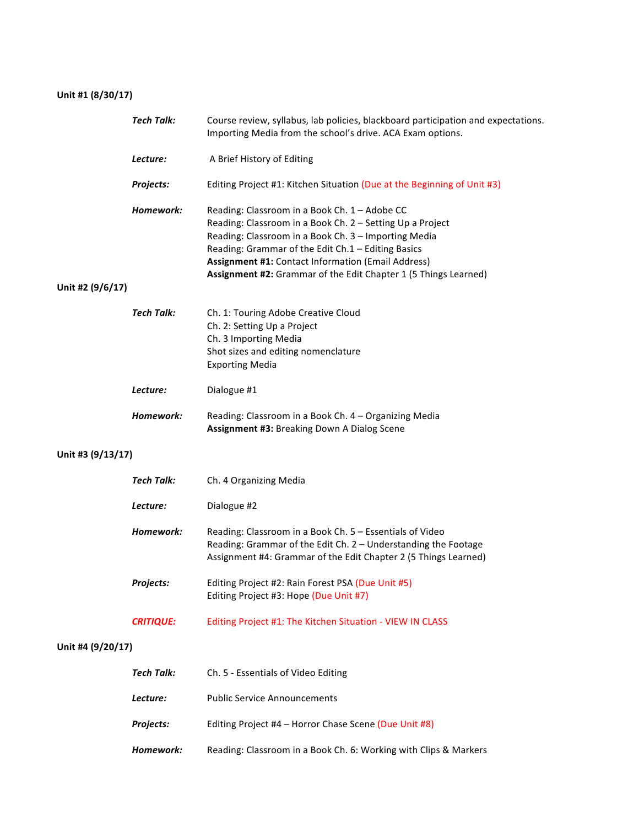# **Unit #1 (8/30/17)**

|                   | <b>Tech Talk:</b> | Course review, syllabus, lab policies, blackboard participation and expectations.<br>Importing Media from the school's drive. ACA Exam options.                                                                                                                                                                                                          |
|-------------------|-------------------|----------------------------------------------------------------------------------------------------------------------------------------------------------------------------------------------------------------------------------------------------------------------------------------------------------------------------------------------------------|
|                   | Lecture:          | A Brief History of Editing                                                                                                                                                                                                                                                                                                                               |
|                   | Projects:         | Editing Project #1: Kitchen Situation (Due at the Beginning of Unit #3)                                                                                                                                                                                                                                                                                  |
| Unit #2 (9/6/17)  | Homework:         | Reading: Classroom in a Book Ch. 1 - Adobe CC<br>Reading: Classroom in a Book Ch. 2 - Setting Up a Project<br>Reading: Classroom in a Book Ch. 3 - Importing Media<br>Reading: Grammar of the Edit Ch.1 - Editing Basics<br><b>Assignment #1: Contact Information (Email Address)</b><br>Assignment #2: Grammar of the Edit Chapter 1 (5 Things Learned) |
|                   | Tech Talk:        | Ch. 1: Touring Adobe Creative Cloud<br>Ch. 2: Setting Up a Project<br>Ch. 3 Importing Media<br>Shot sizes and editing nomenclature<br><b>Exporting Media</b>                                                                                                                                                                                             |
|                   | Lecture:          | Dialogue #1                                                                                                                                                                                                                                                                                                                                              |
|                   | Homework:         | Reading: Classroom in a Book Ch. 4 - Organizing Media<br>Assignment #3: Breaking Down A Dialog Scene                                                                                                                                                                                                                                                     |
| Unit #3 (9/13/17) |                   |                                                                                                                                                                                                                                                                                                                                                          |
|                   | <b>Tech Talk:</b> | Ch. 4 Organizing Media                                                                                                                                                                                                                                                                                                                                   |
|                   | Lecture:          | Dialogue #2                                                                                                                                                                                                                                                                                                                                              |
|                   | Homework:         | Reading: Classroom in a Book Ch. 5 - Essentials of Video<br>Reading: Grammar of the Edit Ch. 2 - Understanding the Footage<br>Assignment #4: Grammar of the Edit Chapter 2 (5 Things Learned)                                                                                                                                                            |
|                   | Projects:         | Editing Project #2: Rain Forest PSA (Due Unit #5)<br>Editing Project #3: Hope (Due Unit #7)                                                                                                                                                                                                                                                              |
|                   | <b>CRITIQUE:</b>  | Editing Project #1: The Kitchen Situation - VIEW IN CLASS                                                                                                                                                                                                                                                                                                |
| Unit #4 (9/20/17) |                   |                                                                                                                                                                                                                                                                                                                                                          |
|                   | <b>Tech Talk:</b> | Ch. 5 - Essentials of Video Editing                                                                                                                                                                                                                                                                                                                      |
|                   | Lecture:          | <b>Public Service Announcements</b>                                                                                                                                                                                                                                                                                                                      |
|                   | Projects:         | Editing Project #4 - Horror Chase Scene (Due Unit #8)                                                                                                                                                                                                                                                                                                    |
|                   | Homework:         | Reading: Classroom in a Book Ch. 6: Working with Clips & Markers                                                                                                                                                                                                                                                                                         |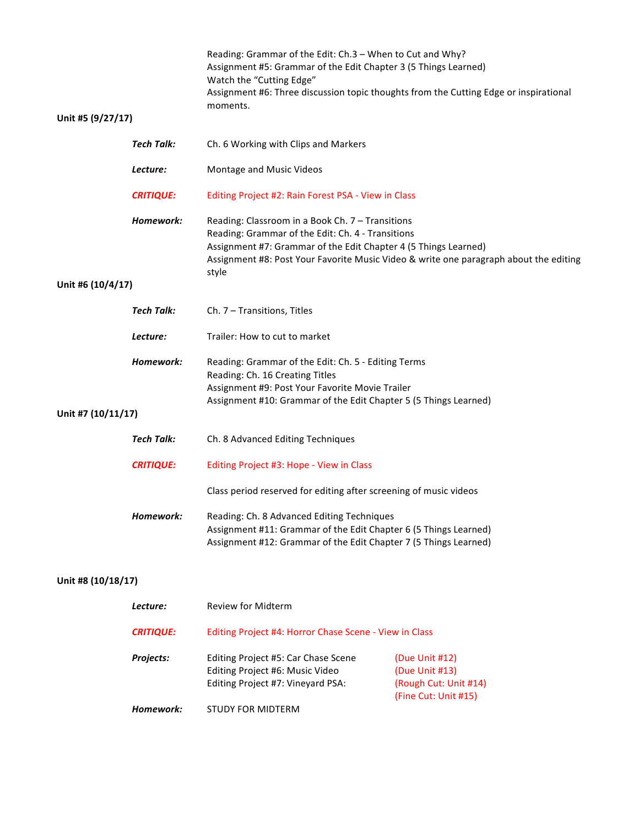|                    |                   | Reading: Grammar of the Edit: Ch.3 - When to Cut and Why?<br>Assignment #5: Grammar of the Edit Chapter 3 (5 Things Learned)<br>Watch the "Cutting Edge"<br>Assignment #6: Three discussion topic thoughts from the Cutting Edge or inspirational |                                                                                       |
|--------------------|-------------------|---------------------------------------------------------------------------------------------------------------------------------------------------------------------------------------------------------------------------------------------------|---------------------------------------------------------------------------------------|
| Unit #5 (9/27/17)  |                   | moments.                                                                                                                                                                                                                                          |                                                                                       |
|                    | <b>Tech Talk:</b> | Ch. 6 Working with Clips and Markers                                                                                                                                                                                                              |                                                                                       |
|                    | Lecture:          | Montage and Music Videos                                                                                                                                                                                                                          |                                                                                       |
|                    | <b>CRITIQUE:</b>  | Editing Project #2: Rain Forest PSA - View in Class                                                                                                                                                                                               |                                                                                       |
|                    | Homework:         |                                                                                                                                                                                                                                                   |                                                                                       |
|                    |                   | Reading: Classroom in a Book Ch. 7 - Transitions<br>Reading: Grammar of the Edit: Ch. 4 - Transitions<br>Assignment #7: Grammar of the Edit Chapter 4 (5 Things Learned)<br>style                                                                 | Assignment #8: Post Your Favorite Music Video & write one paragraph about the editing |
| Unit #6 (10/4/17)  |                   |                                                                                                                                                                                                                                                   |                                                                                       |
|                    | <b>Tech Talk:</b> | Ch. 7 - Transitions, Titles                                                                                                                                                                                                                       |                                                                                       |
|                    | Lecture:          | Trailer: How to cut to market                                                                                                                                                                                                                     |                                                                                       |
|                    | Homework:         | Reading: Grammar of the Edit: Ch. 5 - Editing Terms<br>Reading: Ch. 16 Creating Titles<br>Assignment #9: Post Your Favorite Movie Trailer                                                                                                         |                                                                                       |
| Unit #7 (10/11/17) |                   | Assignment #10: Grammar of the Edit Chapter 5 (5 Things Learned)                                                                                                                                                                                  |                                                                                       |
|                    | <b>Tech Talk:</b> | Ch. 8 Advanced Editing Techniques                                                                                                                                                                                                                 |                                                                                       |
|                    | <b>CRITIQUE:</b>  | Editing Project #3: Hope - View in Class                                                                                                                                                                                                          |                                                                                       |
|                    |                   | Class period reserved for editing after screening of music videos                                                                                                                                                                                 |                                                                                       |
|                    | Homework:         | Reading: Ch. 8 Advanced Editing Techniques<br>Assignment #11: Grammar of the Edit Chapter 6 (5 Things Learned)<br>Assignment #12: Grammar of the Edit Chapter 7 (5 Things Learned)                                                                |                                                                                       |
| Unit #8 (10/18/17) |                   |                                                                                                                                                                                                                                                   |                                                                                       |
|                    | Lecture:          | <b>Review for Midterm</b>                                                                                                                                                                                                                         |                                                                                       |
|                    | <b>CRITIQUE:</b>  | Editing Project #4: Horror Chase Scene - View in Class                                                                                                                                                                                            |                                                                                       |
|                    | Projects:         | Editing Project #5: Car Chase Scene<br>Editing Project #6: Music Video<br>Editing Project #7: Vineyard PSA:                                                                                                                                       | (Due Unit #12)<br>(Due Unit #13)<br>(Rough Cut: Unit #14)                             |
|                    | Homework:         | <b>STUDY FOR MIDTERM</b>                                                                                                                                                                                                                          | (Fine Cut: Unit #15)                                                                  |